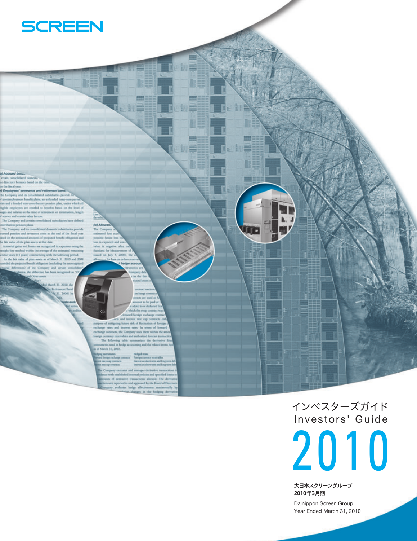

al Accrued bor

and other and the state of the state of the state of the state of the state of the state of the first state of the state of the state of the first comparison of the first control and the control of the control of the stat

et Benef **20081 N** 

(w) All The  $\tilde{C}$  $\overline{a}$ ous is expected and abse is no rd for M ed on July 5, 2

out to be paid a

**STATE** 

-

**ERS** 

**AND** 

**The Second** 

**ITE** 

【報酬】

Admit and lich the swap co sunt foreign exchange o<br>interest rate cap contra and there are the contract of the contract of the contract of the contract of the contract of the contract of the contract of the contract of the contract of the contract of the contract of the contract of the contract of pose of mangang lasmer rats of the<br>crusters of the company manga contracts, the Company uses them within the<br> $n$  hange contracts, the Company uses them within the<br> $n$  rates of the company contracts of the company term<br> $\math$ 

of March 31, 2010. jng instruments<br>and lovigs exchange contracts

 $\begin{array}{l} \begin{array}{l} \text{Hodge terms} \\ \text{Fauge memory model} \end{array} \\ \begin{array}{l} \text{Inverses on door terms and} \\ \text{Inverses on door terms and} \end{array} \end{array}$ **Dip Commands** le Company ex and manages do

ce with excellenced internal policies and specified line<br>ums of derivative transactions allowed. The derivative transactions allowed. The derivative<br>ons are reported to and approved by the board of Disaparty<br>revaluates bed nges in the hedging do

> Investors' Guide インベスターズガイド

2010

大日本スクリーングループ 2010年3月期 Dainippon Screen Group

Year Ended March 31, 2010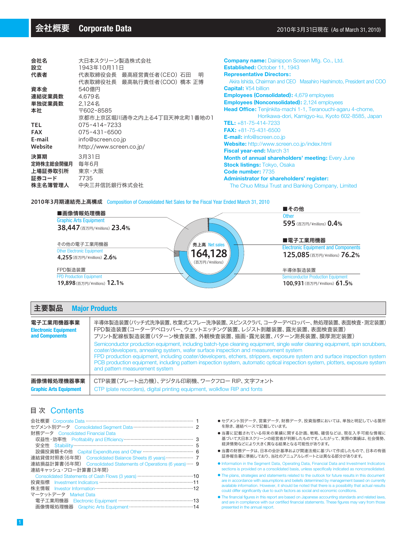| 会社名                                             | 大日本スクリーン製造株式会社                                 |  |  |  |  |  |
|-------------------------------------------------|------------------------------------------------|--|--|--|--|--|
| 設立                                              | 1943年10月11日                                    |  |  |  |  |  |
| 代表者                                             | 代表取締役会長 最高経営責任者(CEO) 石田<br>明                   |  |  |  |  |  |
|                                                 | 代表取締役社長 最高執行責任者(COO) 橋本 正博                     |  |  |  |  |  |
| 資本金                                             | 540億円                                          |  |  |  |  |  |
| 連結従業員数                                          | 4.679名                                         |  |  |  |  |  |
| 単独従業員数                                          | 2.124名                                         |  |  |  |  |  |
| 本社                                              | 〒602-8585                                      |  |  |  |  |  |
|                                                 | 京都市上京区堀川通寺之内上る4丁目天神北町1番地の1                     |  |  |  |  |  |
| <b>TEL</b>                                      | 075-414-7233                                   |  |  |  |  |  |
| <b>FAX</b>                                      | 075-431-6500                                   |  |  |  |  |  |
| E-mail                                          | info@screen.co.jp                              |  |  |  |  |  |
| Website                                         | http://www.screen.co.jp/                       |  |  |  |  |  |
| 決算期<br>定時株主総会開催月<br>上場証券取引所<br>証券コード<br>株主名簿管理人 | 3月31日<br>毎年6月<br>東京・大阪<br>7735<br>中央三井信託銀行株式会社 |  |  |  |  |  |
|                                                 |                                                |  |  |  |  |  |

| <b>Company name: Dainippon Screen Mfg. Co., Ltd.</b>                 |
|----------------------------------------------------------------------|
| <b>Established: October 11, 1943</b>                                 |
| <b>Representative Directors:</b>                                     |
| Akira Ishida, Chairman and CEO Masahiro Hashimoto, President and COO |
| <b>Capital: ¥54 billion</b>                                          |
| <b>Employees (Consolidated):</b> 4,679 employees                     |
| <b>Employees (Nonconsolidated):</b> 2,124 employees                  |
| Head Office: Tenjinkita-machi 1-1, Teranouchi-agaru 4-chome,         |
| Horikawa-dori, Kamigyo-ku, Kyoto 602-8585, Japan                     |
| TEL: +81-75-414-7233                                                 |
| FAX: $+81-75-431-6500$                                               |
| <b>E-mail:</b> info@screen.co.jp                                     |
| <b>Website:</b> http://www.screen.co.jp/index.html                   |
| <b>Fiscal year-end: March 31</b>                                     |
| <b>Month of annual shareholders' meeting: Every June</b>             |
| <b>Stock listings: Tokyo, Osaka</b>                                  |
| Code number: 7735                                                    |
| Administrator for shareholders' register:                            |
| The Chuo Mitsui Trust and Banking Company, Limited                   |

#### 2010年3月期連結売上高構成 Composition of Consolidated Net Sales for the Fiscal Year Ended March 31, 2010



| 主要製品                          | <b>Major Products</b>                                                                                                                                                                                                                                                                                                                                                                                                                                                                                                |
|-------------------------------|----------------------------------------------------------------------------------------------------------------------------------------------------------------------------------------------------------------------------------------------------------------------------------------------------------------------------------------------------------------------------------------------------------------------------------------------------------------------------------------------------------------------|
| 電子工業用機器事業                     | 半導体製造装置(バッチ式洗浄装置、枚葉式スプレー洗浄装置、スピンスクラバ、コーターデベロッパー、熱処理装置、表面検査・測定装置)                                                                                                                                                                                                                                                                                                                                                                                                                                                     |
| <b>Electronic Equipment</b>   | FPD製造装置(コーターデベロッパー、ウェットエッチング装置、レジスト剥離装置、露光装置、表面検査装置)                                                                                                                                                                                                                                                                                                                                                                                                                                                                 |
| and Components                | プリント配線板製造装置(パターン検査装置、外観検査装置、描画・露光装置、パターン測長装置、膜厚測定装置)                                                                                                                                                                                                                                                                                                                                                                                                                                                                 |
|                               | Semiconductor production equipment, including batch-type cleaning equipment, single wafer cleaning equipment, spin scrubbers,<br>coater/developers, annealing system, wafer surface inspection and measurement system<br>FPD production equipment, including coater/developers, etchers, strippers, exposure system and surface inspection system<br>PCB production equipment, including pattern inspection system, automatic optical inspection system, plotters, exposure system<br>and pattern measurement system |
| 画像情報処理機器事業                    | CTP装置(プレート出力機)、デジタル印刷機、ワークフロー RIP、文字フォント                                                                                                                                                                                                                                                                                                                                                                                                                                                                             |
| <b>Graphic Arts Equipment</b> | CTP (plate recorders), digital printing equipment, wolkflow RIP and fonts                                                                                                                                                                                                                                                                                                                                                                                                                                            |

# 目 次 Contents

| セグメント別データ Consolidated Segment Data ………………………………………… 2           |
|------------------------------------------------------------------|
| 財務データ Consolidated Financial Data                                |
|                                                                  |
|                                                                  |
| 設備投資額その他 Capital Expenditures and Other ……………………………………… 6        |
| 連結貸借対照表(6年間) Consolidated Balance Sheets (6 years) ………………… 7     |
| 連結損益計算書(6年間) Consolidated Statements of Operations (6 years) … 9 |
| 連結キャッシュ・フロー計算書(3年間)                                              |
|                                                                  |
| 投資指標                                                             |
| 株主情報 Investor Information …………………………………………………………………………12         |
| マーケットデータ Market Data                                             |
| 電子工業用機器 Electronic Equipment ……………………………………………13                 |
| 画像情報処理機器 Graphic Arts Equipment …………………………………………14               |

- セグメント別データ、営業データ、財務データ、投資指標においては、 単独と明記している箇所 を除き、連結ベースで記載しています。
- 当書に記載されている将来の業績に関する計画、戦略、確信などは、現在入手可能な情報に 基づいて大日本スクリーンの経営者が判断したものです。したがって、実際の業績は、社会情勢、 経済情勢などにより大きく異なる結果となる可能性があります。
- 当書の財務データは、日本の会計基準および関連法規に基づいて作成したもので、日本の有価 証券報告書に準拠しており、当社のアニュアルレポートとは異なる部分があります。
- Information in the Segment Data, Operating Data, Financial Data and Investment Indicators sections is provided on a consolidated basis, unless specifically indicated as nonconsolidated.
- The plans, strategies and statements related to the outlook for future results in this document are in accordance with assumptions and beliefs determined by management based on currently available information. However, it should be noted that there is a possibility that actual results could differ significantly due to such factors as social and economic conditions.
- The financial figures in this report are based on Japanese accounting standards and related laws, and are in compliance with our certified financial statements. These figures may vary from those presented in the annual report.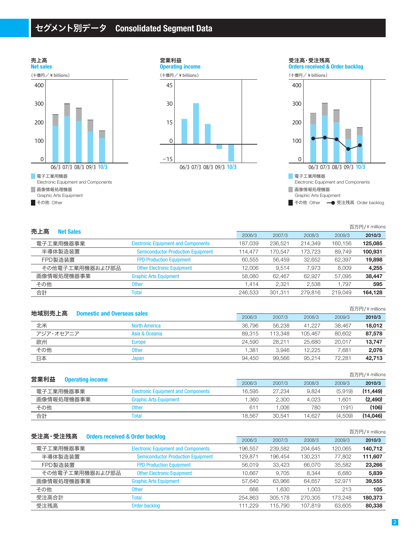# セグメント別データ **Consolidated Segment Data**





**Orders received & Order backlog** 受注高・受注残高



百万円/ ¥ millions

| 売上高              |                                            |         |         |         |         | $1/11$ $1/7$ T $11$ $111$ |
|------------------|--------------------------------------------|---------|---------|---------|---------|---------------------------|
| <b>Net Sales</b> |                                            | 2006/3  | 2007/3  | 2008/3  | 2009/3  | 2010/3                    |
| 電子工業用機器事業        | <b>Electronic Equipment and Components</b> | 187.039 | 236.521 | 214.349 | 160.156 | 125,085                   |
| 半導体製造装置          | <b>Semiconductor Production Equipment</b>  | 114.477 | 170.547 | 173.723 | 89.749  | 100,931                   |
| FPD製造装置          | <b>FPD Production Equipment</b>            | 60.555  | 56.459  | 32.652  | 62.397  | 19,898                    |
| その他電子工業用機器および部品  | <b>Other Electronic Equipment</b>          | 12.006  | 9,514   | 7.973   | 8,009   | 4,255                     |
| 画像情報処理機器事業       | <b>Graphic Arts Equipment</b>              | 58,080  | 62.467  | 62.927  | 57.095  | 38,447                    |
| その他              | <b>Other</b>                               | .414    | 2.321   | 2.538   | 1.797   | 595                       |
| 合計               | Total                                      | 246.533 | 301.311 | 279,816 | 219.049 | 164,128                   |
|                  |                                            |         |         |         |         |                           |

| 地域別売上高    | <b>Domestic and Overseas sales</b> |        |         |         |        | 百万円/¥ millions |
|-----------|------------------------------------|--------|---------|---------|--------|----------------|
|           |                                    | 2006/3 | 2007/3  | 2008/3  | 2009/3 | 2010/3         |
| 北米        | <b>North America</b>               | 36.796 | 56.238  | 41.227  | 38.467 | 18.012         |
| アジア・オセアニア | Asia & Oceania                     | 89.315 | 113.348 | 105.467 | 80.602 | 87.578         |
| 欧州        | <b>Europe</b>                      | 24.590 | 28.211  | 25,680  | 20.017 | 13.747         |
| その他       | Other                              | 1.381  | 3.946   | 12.225  | 7.681  | 2,076          |
| 日本        | Japan                              | 94.450 | 99.566  | 95.214  | 72.281 | 42.713         |

| 営業利益      |                         |                                            |        |        |        |         | 百万円/¥ millions |
|-----------|-------------------------|--------------------------------------------|--------|--------|--------|---------|----------------|
|           | <b>Operating income</b> |                                            | 2006/3 | 2007/3 | 2008/3 | 2009/3  | 2010/3         |
| 電子工業用機器事業 |                         | <b>Electronic Equipment and Components</b> | 16.595 | 27.234 | 9.824  | (5.919) | (11.449)       |
|           | 画像情報処理機器事業              | <b>Graphic Arts Equipment</b>              | .360   | 2.300  | 4.023  | .601    | (2,490)        |
| その他       |                         | Other                                      | 61     | .006   | 780    | (191)   | (106)          |
| 合計        |                         | fota <sup>'</sup>                          | 18.567 | 30.541 | 14.627 | (4.509) | (14,046)       |

| 受注高·受注残高                                   |                                            |         |         |         |         | 百万円/¥ millions |
|--------------------------------------------|--------------------------------------------|---------|---------|---------|---------|----------------|
| <b>Orders received &amp; Order backlog</b> |                                            | 2006/3  | 2007/3  | 2008/3  | 2009/3  | 2010/3         |
| 電子工業用機器事業                                  | <b>Electronic Equipment and Components</b> | 196,557 | 239,582 | 204,645 | 120,065 | 140,712        |
| 半導体製造装置                                    | <b>Semiconductor Production Equipment</b>  | 129.871 | 196.454 | 130.231 | 77,802  | 111,607        |
| FPD製造装置                                    | <b>FPD Production Equipment</b>            | 56.019  | 33,423  | 66,070  | 35,582  | 23,266         |
| その他電子工業用機器および部品                            | <b>Other Electronic Equipment</b>          | 10.667  | 9.705   | 8.344   | 6.680   | 5,839          |
| 画像情報処理機器事業                                 | <b>Graphic Arts Equipment</b>              | 57.640  | 63.966  | 64,657  | 52.971  | 39,555         |
| その他                                        | <b>Other</b>                               | 666     | 1.630   | 0.003   | 213     | 105            |
| 受注高合計                                      | <b>Total</b>                               | 254.863 | 305.178 | 270,305 | 173.248 | 180,373        |
| 受注残高                                       | Order backlog                              | 111.229 | 115.790 | 107.819 | 63.605  | 80,338         |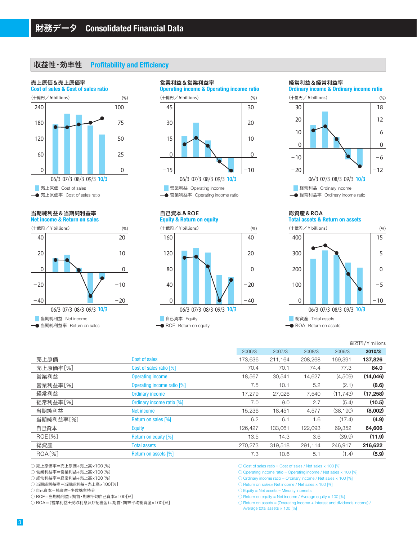## 収益性・効率性 **Profitability and Efficiency**

#### 売上原価&売上原価率



#### **Net income & Return on sales** 当期純利益&当期純利益率





#### **Equity & Return on equity** 自己資本&ROE



#### 経常利益&経常利益率



経常利益率 Ordinary income ratio

#### **Total assets & Return on assets** 総資産&ROA



百万円/ ¥ millions

|                    |                            |         |         |         |           | LIVIIIII + /L ILVIII |
|--------------------|----------------------------|---------|---------|---------|-----------|----------------------|
|                    |                            | 2006/3  | 2007/3  | 2008/3  | 2009/3    | 2010/3               |
| 売上原価               | Cost of sales              | 173,636 | 211.164 | 208.268 | 169.391   | 137,826              |
| 売上原価率[%]           | Cost of sales ratio [%]    | 70.4    | 70.1    | 74.4    | 77.3      | 84.0                 |
| 営業利益               | <b>Operating income</b>    | 18,567  | 30,541  | 14,627  | (4,509)   | (14,046)             |
| 営業利益率[%]           | Operating income ratio [%] | 7.5     | 10.1    | 5.2     | (2.1)     | (8.6)                |
| 経常利益               | <b>Ordinary income</b>     | 17.279  | 27.026  | 7.540   | (11.743)  | (17, 258)            |
| 経常利益率[%]           | Ordinary income ratio [%]  | 7.0     | 9.0     | 2.7     | (5.4)     | (10.5)               |
| 当期純利益              | Net income                 | 15,236  | 18,451  | 4,577   | (38, 190) | (8,002)              |
| 当期純利益率[%]          | Return on sales [%]        | 6.2     | 6.1     | 1.6     | (17.4)    | (4.9)                |
| 自己資本               | <b>Equity</b>              | 126.427 | 133,061 | 122,093 | 69.352    | 64,606               |
| ROE[%]             | Return on equity [%]       | 13.5    | 14.3    | 3.6     | (39.9)    | (11.9)               |
| 総資産                | <b>Total assets</b>        | 270,273 | 319,518 | 291,114 | 246,917   | 216,622              |
| ROA <sub>[%]</sub> | Return on assets [%]       | 7.3     | 10.6    | 5.1     | (1.4)     | (5.9)                |
|                    |                            |         |         |         |           |                      |

○ 売上原価率=売上原価÷売上高×100[%]

○ 営業利益率=営業利益÷売上高×100[%]

○ 経常利益率=経常利益÷売上高×100[%]

○ 当期純利益率=当期純利益÷売上高×100[%]

○ 自己資本=純資産-少数株主持分

○ ROE=当期純利益÷期首・期末平均自己資本×100[%]

○ ROA=(営業利益+受取利息及び配当金)÷期首・期末平均総資産×100[%]

 $\circlearrowright$  Cost of sales ratio = Cost of sales / Net sales  $\times$  100 [%]

 $\circlearrowright$  Operating income ratio = Operating income / Net sales  $\times$  100 [%]

 $\circlearrowright$  Ordinary income ratio = Ordinary income / Net sales  $\times$  100 [%]

 $\circlearrowright$  Return on sales= Net income / Net sales  $\times$  100 [%]

 $\bigcirc$  Equity = Net assets – Minority interests

 $\circlearrowright$  Return on equity = Net income / Average equity  $\times$  100 [%]

 $\bigcirc$  Return on assets = (Operating income + Interest and dividends income)  $\bigwedge$ 

Average total assets  $\times$  100 [%]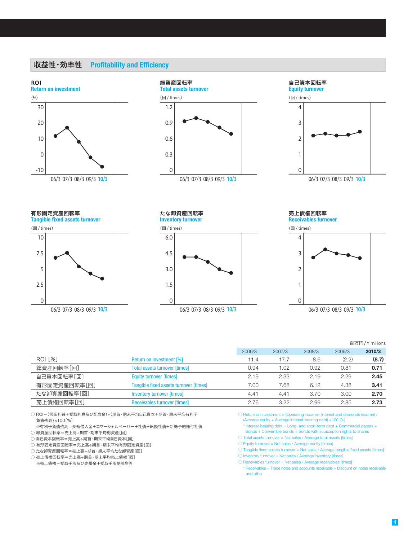### 収益性・効率性 **Profitability and Efficiency**







有形固定資産回転率

**Tangible fixed assets turnover**



**Inventory turnover** たな卸資産回転率



**Receivables turnover** 売上債権回転率



06/3 07/3 08/3 09/3 10/3

#### 百万円/ ¥ millions

|                |                                        | 2006/3 | 2007/3 | 2008/3 | 2009/3 | 2010/3 |
|----------------|----------------------------------------|--------|--------|--------|--------|--------|
| <b>ROI [%]</b> | Return on investment [%]               | 11.4   | 17.7   | 8.6    | (2.2)  | (8.7)  |
| 総資産回転率[回]      | <b>Total assets turnover [times]</b>   | 0.94   | .02    | 0.92   | 0.81   | 0.71   |
| 自己資本回転率[回]     | <b>Equity turnover [times]</b>         | 2.19   | 2.33   | 2.19   | 2.29   | 2.45   |
| 有形固定資産回転率[回]   | Tangible fixed assets turnover [times] | 7.00   | 7.68   | 6.12   | 4.38   | 3.41   |
| たな卸資産回転率「回」    | <b>Inventory turnover [times]</b>      | 4.41   | 4.41   | 3.70   | 3.00   | 2.70   |
| 売上債権回転率[回]     | <b>Receivables turnover [times]</b>    | 2.76   | 3.22   | 2.99   | 2.85   | 2.73   |

○ ROI=(営業利益+受取利息及び配当金)÷(期首・期末平均自己資本+期首・期末平均有利子 負債残高)×100[%]

 ※有利子負債残高=長短借入金+コマーシャルペーパー+社債+転換社債+新株予約権付社債 ○ 総資産回転率=売上高÷期首・期末平均総資産[回]

○ 自己資本回転率=売上高÷期首・期末平均自己資本[回]

○ 有形固定資産回転率=売上高÷期首・期末平均有形固定資産[回]

○ たな卸資産回転率=売上高÷期首・期末平均たな卸資産[回]

○ 売上債権回転率=売上高÷期首・期末平均売上債権[回]

※売上債権=受取手形及び売掛金+受取手形割引高等

 $\bigcirc$  Return on investment = (Operating income+ Interest and dividends income)  $\bigwedge$ (Average equity + Average interest-bearing debt) ×100 [%]

\* Interest-bearing debt = Long- and short-term debt + Commercial papers +

- Bonds + Convertible bonds + Bonds with subscription rights to shares
- Total assets turnover = Net sales / Average total assets [times]
- $\bigcirc$  Equity turnover = Net sales / Average equity [times]

○ Tangible fixed assets turnover = Net sales / Average tangible fixed assets [times]

 $\bigcirc$  Inventory turnover = Net sales / Average inventory [times]

○ Receivables turnover = Net sales / Average receivables [times]

\* Receivables = Trade notes and accounts receivable + Discount on notes receivable and other

#### 4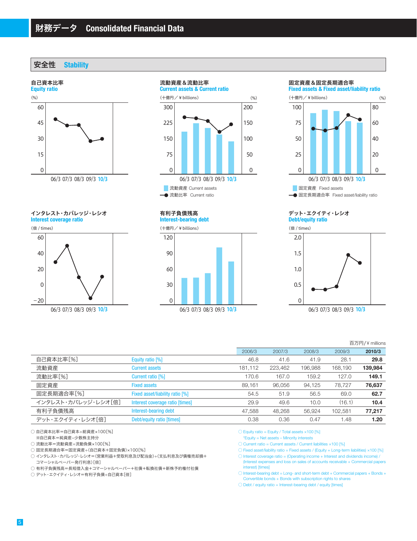安全性 **Stability**



**Interest coverage ratio** インタレスト・カバレッジ・レシオ









固定資産&固定長期適合率



#### **Debt/equity ratio** デット・エクイティ・レシオ



#### 百万円/ ¥ millions

|                     |                                 |         |        |         |         |         | ____________________ |
|---------------------|---------------------------------|---------|--------|---------|---------|---------|----------------------|
|                     |                                 | 2006/3  |        | 2007/3  | 2008/3  | 2009/3  | 2010/3               |
| 自己資本比率[%]           | Equity ratio [%]                |         | 46.8   | 41.6    | 41.9    | 28.1    | 29.8                 |
| 流動資産                | <b>Current assets</b>           | 181,112 |        | 223,462 | 196,988 | 168,190 | 139,984              |
| 流動比率[%]             | Current ratio [%]               |         | 170.6  | 167.0   | 159.2   | 127.0   | 149.1                |
| 固定資産                | <b>Fixed assets</b>             |         | 89,161 | 96.056  | 94,125  | 78.727  | 76,637               |
| 固定長期適合率[%]          | Fixed asset/liability ratio [%] |         | 54.5   | 51.9    | 56.5    | 69.0    | 62.7                 |
| インタレスト・カバレッジ・レシオ「倍] | Interest coverage ratio [times] |         | 29.9   | 49.6    | 10.0    | (16.1)  | 10.4                 |
| 有利子負債残高             | Interest-bearing debt           |         | 47.588 | 48.268  | 56,924  | 102.581 | 77,217               |
| デット・エクイティ・レシオ[倍]    | Debt/equity ratio [times]       |         | 0.38   | 0.36    | 0.47    | 1.48    | 1.20                 |
|                     |                                 |         |        |         |         |         |                      |

○ 自己資本比率=自己資本÷総資産×100[%]

※自己資本=純資産-少数株主持分

○ 流動比率=流動資産÷流動負債×100[%]

○ 固定長期適合率=固定資産÷(自己資本+固定負債)×100[%]

○ インタレスト・カバレッジ・レシオ=(営業利益+受取利息及び配当金)÷(支払利息及び債権売却損+ コマーシャルペーパー発行利息)[倍]

○ 有利子負債残高=長短借入金+コマーシャルペーパー+社債+転換社債+新株予約権付社債

○ デット・エクイティ・レシオ=有利子負債÷自己資本[倍]

 $\circlearrowright$  Equity ratio = Equity / Total assets  $\times$ 100 [%]

\*Equity = Net assets – Minority interests

 $\circlearrowright$  Current ratio = Current assets / Current liabilities  $\times$ 100 [%]

 $\bigcirc$  Fixed asset/liability ratio = Fixed assets / (Equity + Long-term liabilities)  $\times$ 100 [%]

 $\bigcirc$  Interest coverage ratio = (Operating income + Interest and dividends income)  $\bigcirc$ (Interest expenses and loss on sales of accounts receivable + Commercial papers interest) [times]

 $\bigcirc$  Interest-bearing debt = Long- and short-term debt + Commercial papers + Bonds + Convertible bonds + Bonds with subscription rights to shares

 $\bigcirc$  Debt / equity ratio = Interest-bearing debt / equity [times]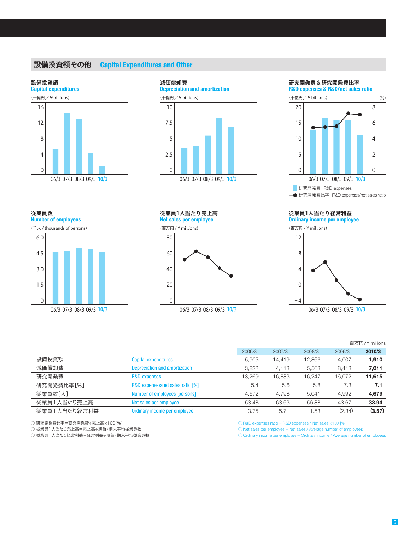# 設備投資額その他 **Capital Expenditures and Other**

#### 設備投資額





研究開発費&研究開発費比率



従業員数

**Number of employees**



#### **Net sales per employee** 従業員1人当たり売上高

(百万円 / ¥ millions)



#### **Ordinary income per employee** 従業員1人当たり経常利益

(百万円 / ¥ millions)



|              |                                      |        |        |        |        | 百万円/¥ millions |
|--------------|--------------------------------------|--------|--------|--------|--------|----------------|
|              |                                      | 2006/3 | 2007/3 | 2008/3 | 2009/3 | 2010/3         |
| 設備投資額        | Capital expenditures                 | 5.905  | 14.419 | 12,866 | 4.007  | 1,910          |
| 減価償却費        | <b>Depreciation and amortization</b> | 3,822  | 4.113  | 5,563  | 8,413  | 7,011          |
| 研究開発費        | <b>R&amp;D expenses</b>              | 13,269 | 16.883 | 16.247 | 16.072 | 11,615         |
| 研究開発費比率[%]   | R&D expenses/net sales ratio [%]     | 5.4    | 5.6    | 5.8    | 7.3    | 7.1            |
| 従業員数[人]      | Number of employees [persons]        | 4.672  | 4.798  | 5.041  | 4.992  | 4,679          |
| 従業員1人当たり売上高  | Net sales per employee               | 53.48  | 63.63  | 56.88  | 43.67  | 33.94          |
| 従業員1人当たり経常利益 | Ordinary income per employee         | 3.75   | 5.71   | 1.53   | (2.34) | (3.57)         |

○ 研究開発費比率=研究開発費÷売上高×100[%]

○ 従業員1人当たり売上高=売上高÷期首・期末平均従業員数

○ 従業員1人当たり経常利益=経常利益÷期首・期末平均従業員数

 $\bigcirc$  R&D expenses ratio = R&D expenses / Net sales  $\times$ 100 [%]

 $\bigcirc$  Net sales per employee = Net sales / Average number of employees

◯ Ordinary income per employee = Ordinary income / Average number of employees

6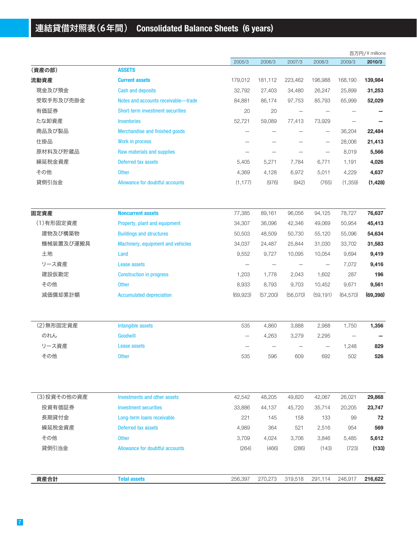# 連結貸借対照表(6年間) **Consolidated Balance Sheets (6 years)**

|             |                                     |           |                          |                          |                   |                          | 百万円/¥ millions |
|-------------|-------------------------------------|-----------|--------------------------|--------------------------|-------------------|--------------------------|----------------|
|             |                                     | 2005/3    | 2006/3                   | 2007/3                   | 2008/3            | 2009/3                   | 2010/3         |
| (資産の部)      | <b>ASSETS</b>                       |           |                          |                          |                   |                          |                |
| 流動資産        | <b>Current assets</b>               | 179,012   | 181,112                  | 223,462                  | 196,988           | 168,190                  | 139,984        |
| 現金及び預金      | <b>Cash and deposits</b>            | 32,792    | 27,403                   | 34,480                   | 26,247            | 25,899                   | 31,253         |
| 受取手形及び売掛金   | Notes and accounts receivable-trade | 84,881    | 86,174                   | 97,753                   | 85,793            | 65,999                   | 52,029         |
| 有価証券        | Short-term investment securities    | 20        | 20                       | $\overline{\phantom{0}}$ |                   |                          |                |
| たな卸資産       | <b>Inventories</b>                  | 52,721    | 59,089                   | 77,413                   | 73,929            | $\overline{\phantom{0}}$ |                |
| 商品及び製品      | Merchandise and finished goods      |           |                          |                          | $\qquad \qquad -$ | 36,204                   | 22,484         |
| 仕掛品         | Work in process                     |           |                          |                          |                   | 28,006                   | 21,413         |
| 原材料及び貯蔵品    | Raw materials and supplies          |           | -                        |                          |                   | 8,019                    | 5,566          |
| 繰延税金資産      | Deferred tax assets                 | 5,405     | 5,271                    | 7,784                    | 6,771             | 1,191                    | 4,026          |
| その他         | <b>Other</b>                        | 4,369     | 4,128                    | 6,972                    | 5,011             | 4,229                    | 4,637          |
| 貸倒引当金       | Allowance for doubtful accounts     | (1, 177)  | (976)                    | (942)                    | (765)             | (1,359)                  | (1, 428)       |
| 固定資産        | <b>Noncurrent assets</b>            | 77,385    | 89,161                   | 96,056                   | 94,125            | 78,727                   | 76,637         |
| (1)有形固定資産   | Property, plant and equipment       | 34,307    | 36,096                   | 42,346                   | 49,069            | 50,954                   | 45,413         |
| 建物及び構築物     | <b>Buildings and structures</b>     | 50,503    | 48,509                   | 50,730                   | 55,120            | 55,096                   | 54,634         |
| 機械装置及び運搬具   | Machinery, equipment and vehicles   | 34,037    | 24,487                   | 25,844                   | 31,030            | 33,702                   | 31,583         |
| 土地          | Land                                | 9,552     | 9,727                    | 10,095                   | 10,054            | 9,694                    | 9,419          |
| リース資産       | <b>Lease assets</b>                 |           | $\overline{\phantom{0}}$ |                          |                   | 7,072                    | 9,416          |
| 建設仮勘定       | <b>Construction in progress</b>     | 1,203     | 1,778                    | 2,043                    | 1,602             | 287                      | 196            |
| その他         | <b>Other</b>                        | 8,933     | 8,793                    | 9,703                    | 10,452            | 9,671                    | 9,561          |
| 減価償却累計額     | <b>Accumulated depreciation</b>     | (69, 923) | (57,200)                 | (56,070)                 | (59, 191)         | (64, 570)                | (69, 398)      |
| (2) 無形固定資産  | Intangible assets                   | 535       | 4,860                    | 3,888                    | 2,988             | 1,750                    | 1,356          |
| のれん         | Goodwill                            |           | 4,263                    | 3,279                    | 2,295             |                          |                |
| リース資産       | Lease assets                        |           |                          |                          |                   | 1,248                    | 829            |
| その他         | <b>Other</b>                        | 535       | 596                      | 609                      | 692               | 502                      | 526            |
| (3)投資その他の資産 | <b>Investments and other assets</b> | 42,542    | 48,205                   | 49,820                   | 42,067            | 26,021                   | 29,868         |
| 投資有価証券      | <b>Investment securities</b>        | 33,886    | 44,137                   | 45,720                   | 35,714            | 20,205                   | 23,747         |
| 長期貸付金       | Long-term loans receivable          | 221       | 145                      | 158                      | 133               | 99                       | 72             |
| 繰延税金資産      | Deferred tax assets                 | 4,989     | 364                      | 521                      |                   | 954                      | 569            |
| その他         |                                     |           |                          |                          | 2,516             |                          |                |
|             | <b>Other</b>                        | 3,709     | 4,024                    | 3,706                    | 3,846             | 5,485                    | 5,612          |
| 貸倒引当金       | Allowance for doubtful accounts     | (264)     | (466)                    | (286)                    | (143)             | (723)                    | (133)          |
| 資産合計        | <b>Total assets</b>                 | 256,397   | 270,273                  | 319,518                  | 291,114           | 246,917                  | 216,622        |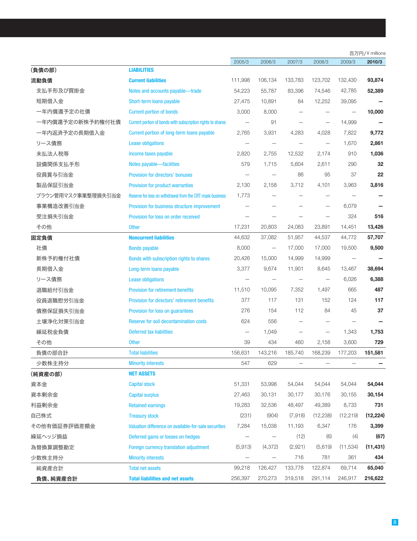|                    |                                                             |                          |                          |         |                   |                          | 百万円/¥ millions |
|--------------------|-------------------------------------------------------------|--------------------------|--------------------------|---------|-------------------|--------------------------|----------------|
|                    |                                                             | 2005/3                   | 2006/3                   | 2007/3  | 2008/3            | 2009/3                   | 2010/3         |
| (負債の部)             | <b>LIABILITIES</b>                                          |                          |                          |         |                   |                          |                |
| 流動負債               | <b>Current liabilities</b>                                  | 111,998                  | 106,134                  | 133,783 | 123,702           | 132,430                  | 93,874         |
| 支払手形及び買掛金          | Notes and accounts payable-trade                            | 54,223                   | 55,787                   | 83,396  | 74,546            | 42,785                   | 52,389         |
| 短期借入金              | Short-term loans payable                                    | 27,475                   | 10,891                   | 84      | 12,252            | 39,095                   |                |
| 一年内償還予定の社債         | <b>Current portion of bonds</b>                             | 3,000                    | 8,000                    |         |                   |                          | 10,000         |
| 一年内償還予定の新株予約権付社債   | Current portion of bonds with subscription rights to shares |                          | 91                       |         |                   | 14,999                   |                |
| 一年内返済予定の長期借入金      | Current portion of long-term loans payable                  | 2,765                    | 3,931                    | 4,283   | 4,028             | 7,822                    | 9,772          |
| リース債務              | <b>Lease obligations</b>                                    |                          |                          |         |                   | 1,670                    | 2,861          |
| 未払法人税等             | Income taxes payable                                        | 2,820                    | 2,755                    | 12,532  | 2,174             | 910                      | 1,036          |
| 設備関係支払手形           | Notes payable-facilities                                    | 579                      | 1,715                    | 5,604   | 2,611             | 290                      | 32             |
| 役員賞与引当金            | Provision for directors' bonuses                            | $\overline{\phantom{0}}$ | $\overline{\phantom{0}}$ | 86      | 95                | 37                       | 22             |
| 製品保証引当金            | Provision for product warranties                            | 2,130                    | 2,158                    | 3,712   | 4,101             | 3,963                    | 3,816          |
| ブラウン管用マスク事業整理損失引当金 | Reserve for loss on withdrawal from the CRT mask business   | 1,773                    |                          |         |                   |                          |                |
| 事業構造改善引当金          | Provision for business structure improvement                |                          |                          |         |                   | 6,079                    |                |
| 受注損失引当金            | Provision for loss on order received                        |                          | $\overline{\phantom{0}}$ |         |                   | 324                      | 516            |
| その他                | <b>Other</b>                                                | 17,231                   | 20,803                   | 24,083  | 23,891            | 14,451                   | 13,426         |
| 固定負債               | <b>Noncurrent liabilities</b>                               | 44,632                   | 37,082                   | 51,957  | 44,537            | 44,772                   | 57,707         |
| 社債                 | <b>Bonds payable</b>                                        | 8,000                    | $\overline{\phantom{m}}$ | 17,000  | 17,000            | 19,500                   | 9,500          |
| 新株予約権付社債           | Bonds with subscription rights to shares                    | 20,426                   | 15,000                   | 14,999  | 14,999            | $\overline{\phantom{0}}$ |                |
| 長期借入金              | Long-term loans payable                                     | 3,377                    | 9,674                    | 11,901  | 8,645             | 13,467                   | 38,694         |
| リース債務              | <b>Lease obligations</b>                                    |                          |                          |         |                   | 6,026                    | 6,388          |
| 退職給付引当金            | <b>Provision for retirement benefits</b>                    | 11,510                   | 10,095                   | 7,352   | 1,497             | 665                      | 487            |
| 役員退職慰労引当金          | Provision for directors' retirement benefits                | 377                      | 117                      | 131     | 152               | 124                      | 117            |
| 債務保証損失引当金          | Provision for loss on quarantees                            | 276                      | 154                      | 112     | 84                | 45                       | 37             |
| 土壌浄化対策引当金          | <b>Reserve for soil decontamination costs</b>               | 624                      | 556                      |         |                   |                          |                |
| 繰延税金負債             | Deferred tax liabilities                                    |                          | 1,049                    |         | $\qquad \qquad -$ | 1,343                    | 1,753          |
| その他                | <b>Other</b>                                                | 39                       | 434                      | 460     | 2,158             | 3,600                    | 729            |
| 負債の部合計             | <b>Total liabilities</b>                                    | 156,631                  | 143,216                  | 185,740 | 168,239           | 177,203                  | 151,581        |
| 少数株主持分             | <b>Minority interests</b>                                   | 547                      | 629                      |         |                   |                          |                |
| (純資産の部)            | <b>NET ASSETS</b>                                           |                          |                          |         |                   |                          |                |
| 資本金                | <b>Capital stock</b>                                        | 51,331                   | 53,998                   | 54,044  | 54,044            | 54,044                   | 54,044         |
| 資本剰余金              | <b>Capital surplus</b>                                      | 27,463                   | 30,131                   | 30,177  | 30,176            | 30,155                   | 30,154         |
| 利益剰余金              | <b>Retained earnings</b>                                    | 19,283                   | 32,536                   | 48,497  | 49,389            | 8,733                    | 731            |
| 自己株式               | <b>Treasury stock</b>                                       | (231)                    | (904)                    | (7,918) | (12, 238)         | (12, 219)                | (12, 224)      |
| その他有価証券評価差額金       | Valuation difference on available-for-sale securities       | 7,284                    | 15,038                   | 11,193  | 6,347             | 176                      | 3,399          |
| 繰延ヘッジ損益            | Deferred gains or losses on hedges                          |                          |                          | (12)    | (6)               | (4)                      | (67)           |
| 為替換算調整勘定           | Foreign currency translation adjustment                     | (5,913)                  | (4,372)                  | (2,921) | (5,619)           | (11, 534)                | (11, 431)      |
| 少数株主持分             | <b>Minority interests</b>                                   | -                        | $\qquad \qquad -$        | 716     | 781               | 361                      | 434            |
| 純資産合計              | <b>Total net assets</b>                                     | 99,218                   | 126,427                  | 133,778 | 122,874           | 69,714                   | 65,040         |
| 負債、純資産合計           | <b>Total liabilities and net assets</b>                     | 256,397                  | 270,273                  | 319,518 | 291,114           | 246,917                  | 216,622        |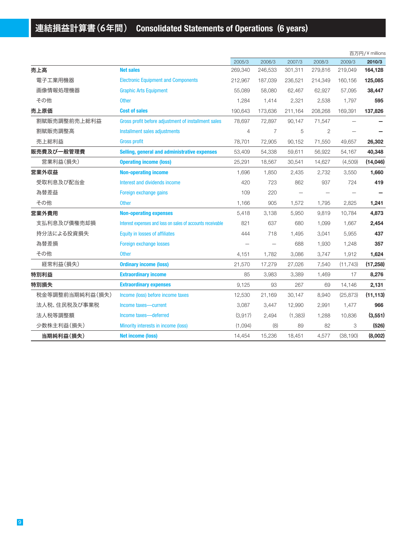|                 |                                                            |                |         |                          |         |           | 百万円/¥ millions |
|-----------------|------------------------------------------------------------|----------------|---------|--------------------------|---------|-----------|----------------|
|                 |                                                            | 2005/3         | 2006/3  | 2007/3                   | 2008/3  | 2009/3    | 2010/3         |
| 売上高             | <b>Net sales</b>                                           | 269,340        | 246,533 | 301,311                  | 279,816 | 219,049   | 164,128        |
| 電子工業用機器         | <b>Electronic Equipment and Components</b>                 | 212,967        | 187,039 | 236,521                  | 214,349 | 160,156   | 125,085        |
| 画像情報処理機器        | <b>Graphic Arts Equipment</b>                              | 55,089         | 58,080  | 62,467                   | 62,927  | 57,095    | 38,447         |
| その他             | <b>Other</b>                                               | 1,284          | 1,414   | 2,321                    | 2,538   | 1,797     | 595            |
| 売上原価            | <b>Cost of sales</b>                                       | 190,643        | 173,636 | 211,164                  | 208,268 | 169,391   | 137,826        |
| 割賦販売調整前売上総利益    | Gross profit before adjustment of installment sales        | 78,697         | 72,897  | 90.147                   | 71,547  |           |                |
| 割賦販売調整高         | Installment sales adjustments                              | $\overline{4}$ | 7       | 5                        | 2       |           |                |
| 売上総利益           | <b>Gross profit</b>                                        | 78,701         | 72,905  | 90,152                   | 71,550  | 49,657    | 26,302         |
| 販売費及び一般管理費      | Selling, general and administrative expenses               | 53,409         | 54,338  | 59,611                   | 56,922  | 54,167    | 40,348         |
| 営業利益(損失)        | <b>Operating income (loss)</b>                             | 25,291         | 18,567  | 30,541                   | 14,627  | (4,509)   | (14,046)       |
| 営業外収益           | <b>Non-operating income</b>                                | 1,696          | 1,850   | 2,435                    | 2,732   | 3,550     | 1,660          |
| 受取利息及び配当金       | Interest and dividends income                              | 420            | 723     | 862                      | 937     | 724       | 419            |
| 為替差益            | Foreign exchange gains                                     | 109            | 220     | $\overline{\phantom{0}}$ |         |           |                |
| その他             | <b>Other</b>                                               | 1,166          | 905     | 1,572                    | 1,795   | 2,825     | 1,241          |
| 営業外費用           | <b>Non-operating expenses</b>                              | 5,418          | 3,138   | 5,950                    | 9,819   | 10,784    | 4,873          |
| 支払利息及び債権売却損     | Interest expenses and loss on sales of accounts receivable | 821            | 637     | 680                      | 1,099   | 1,667     | 2,454          |
| 持分法による投資損失      | <b>Equity in losses of affiliates</b>                      | 444            | 718     | 1,495                    | 3,041   | 5,955     | 437            |
| 為替差損            | Foreign exchange losses                                    |                |         | 688                      | 1,930   | 1,248     | 357            |
| その他             | <b>Other</b>                                               | 4,151          | 1,782   | 3,086                    | 3,747   | 1,912     | 1,624          |
| 経常利益(損失)        | <b>Ordinary income (loss)</b>                              | 21,570         | 17,279  | 27,026                   | 7,540   | (11, 743) | (17, 258)      |
| 特別利益            | <b>Extraordinary income</b>                                | 85             | 3,983   | 3,389                    | 1,469   | 17        | 8,276          |
| 特別損失            | <b>Extraordinary expenses</b>                              | 9,125          | 93      | 267                      | 69      | 14,146    | 2,131          |
| 税金等調整前当期純利益(損失) | Income (loss) before income taxes                          | 12,530         | 21,169  | 30,147                   | 8,940   | (25, 873) | (11, 113)      |
| 法人税、住民税及び事業税    | Income taxes-current                                       | 3,087          | 3,447   | 12,990                   | 2,991   | 1,477     | 966            |
| 法人税等調整額         | Income taxes-deferred                                      | (3,917)        | 2,494   | (1,383)                  | 1,288   | 10,836    | (3,551)        |
| 少数株主利益(損失)      | Minority interests in income (loss)                        | (1,094)        | (8)     | 89                       | 82      | 3         | (526)          |
| 当期純利益(損失)       | <b>Net income (loss)</b>                                   | 14,454         | 15,236  | 18,451                   | 4,577   | (38, 190) | (8,002)        |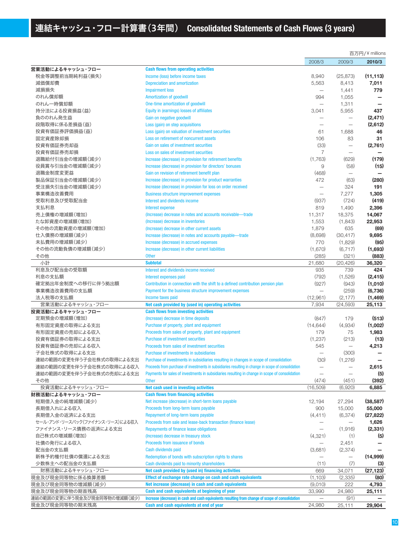|                                 |                                                                                                     |                                  |                          | 百万円/¥ millions |
|---------------------------------|-----------------------------------------------------------------------------------------------------|----------------------------------|--------------------------|----------------|
|                                 |                                                                                                     | 2008/3                           | 2009/3                   | 2010/3         |
| 営業活動によるキャッシュ・フロー                | <b>Cash flows from operating activities</b>                                                         |                                  |                          |                |
| 税金等調整前当期純利益(損失)                 | Income (loss) before income taxes                                                                   | 8,940                            | (25, 873)                | (11, 113)      |
| 減価償却費                           | <b>Depreciation and amortization</b>                                                                | 5,563                            | 8,413                    | 7,011          |
| 減損損失                            | <b>Impairment loss</b>                                                                              |                                  | 1,441                    | 779            |
| のれん償却額                          | Amortization of goodwill                                                                            | 994                              | 1,055                    |                |
| のれん一時償却額                        | One-time amortization of goodwill                                                                   | $\qquad \qquad -$                | 1,311                    |                |
| 持分法による投資損益(益)                   | Equity in (earnings) losses of affiliates                                                           | 3,041                            | 5,955                    | 437            |
| 負ののれん発生益                        | Gain on negative goodwill                                                                           |                                  |                          | (2, 471)       |
| 段階取得に係る差損益(益)                   | Loss (gain) on step acquisitions                                                                    |                                  |                          | (2,612)        |
| 投資有価証券評価損益(益)                   | Loss (gain) on valuation of investment securities                                                   | 61                               | 1,688                    | 46             |
| 固定資産除却損                         | Loss on retirement of noncurrent assets                                                             | 106                              | 83                       | 31             |
| 投資有価証券売却益                       | Gain on sales of investment securities                                                              | (33)                             | $\overline{\phantom{0}}$ | (2,761)        |
| 投資有価証券売却損                       | Loss on sales of investment securities                                                              | 7                                | $\overline{\phantom{0}}$ |                |
| 退職給付引当金の増減額(減少)                 | Increase (decrease) in provision for retirement benefits                                            | (1,763)                          | (629)                    | (179)          |
| 役員賞与引当金の増減額(減少)                 | Increase (decrease) in provision for directors' bonuses                                             | 9                                | (58)                     | (15)           |
|                                 |                                                                                                     |                                  |                          |                |
| 退職金制度変更益                        | Gain on revision of retirement benefit plan                                                         | (468)                            |                          |                |
| 製品保証引当金の増減額(減少)                 | Increase (decrease) in provision for product warranties                                             | 472                              | (63)                     | (280)          |
| 受注損失引当金の増減額(減少)                 | Increase (decrease) in provision for loss on order received                                         | $\overline{\phantom{0}}$         | 324                      | 191            |
| 事業構造改善費用                        | <b>Business structure improvement expenses</b>                                                      |                                  | 7,277                    | 1,305          |
| 受取利息及び受取配当金                     | Interest and dividends income                                                                       | (937)                            | (724)                    | (419)          |
| 支払利息                            | <b>Interest expense</b>                                                                             | 819                              | 1,490                    | 2,396          |
| 売上債権の増減額(増加)                    | (Increase) decrease in notes and accounts receivable-trade                                          | 11,317                           | 18,375                   | 14,067         |
| たな卸資産の増減額(増加)                   | (Increase) decrease in inventories                                                                  | 1,553                            | (1,843)                  | 22,953         |
| その他の流動資産の増減額(増加)                | (Increase) decrease in other current assets                                                         | 1,879                            | 635                      | (69)           |
| 仕入債務の増減額(減少)                    | Increase (decrease) in notes and accounts payable-trade                                             | (8,698)                          | (30, 417)                | 9,695          |
| 未払費用の増減額(減少)                    | Increase (decrease) in accrued expenses                                                             | 770                              | (1,829)                  | (95)           |
| その他の流動負債の増減額(減少)                | Increase (decrease) in other current liabilities                                                    | (1,670)                          | (6, 717)                 | (1,693)        |
| その他                             | <b>Other</b>                                                                                        | (285)                            | (321)                    | (883)          |
| 小計                              | <b>Subtotal</b>                                                                                     | 21,680                           | (20, 426)                | 36,320         |
| 利息及び配当金の受取額                     | Interest and dividends income received                                                              | 935                              | 739                      | 424            |
| 利息の支払額                          | Interest expenses paid                                                                              | (792)                            | (1,526)                  | (2, 415)       |
| 確定拠出年金制度への移行に伴う拠出額              | Contribution in connection with the shift to a defined contribution pension plan                    | (927)                            | (943)                    | (1,010)        |
| 事業構造改善費用の支払額                    | Payment for the business structure improvement expenses                                             |                                  | (259)                    | (6,736)        |
| 法人税等の支払額                        | Income taxes paid                                                                                   | (12,961)                         | (2, 177)                 | (1, 469)       |
| 営業活動によるキャッシュ・フロー                | Net cash provided by (used in) operating activities                                                 | 7,934                            | (24, 593)                | 25,113         |
| 投資活動によるキャッシュ・フロー                | <b>Cash flows from investing activities</b>                                                         |                                  |                          |                |
| 定期預金の増減額(増加)                    | (Increase) decrease in time deposits                                                                | (847)                            | 179                      | (513)          |
| 有形固定資産の取得による支出                  | Purchase of property, plant and equipment                                                           | (14, 644)                        | (4,934)                  | (1,002)        |
| 有形固定資産の売却による収入                  | Proceeds from sales of property, plant and equipment                                                | 179                              | 75                       | 1,983          |
| 投資有価証券の取得による支出                  | <b>Purchase of investment securities</b>                                                            | (1,237)                          | (213)                    | (13)           |
| 投資有価証券の売却による収入                  | Proceeds from sales of investment securities                                                        | 545                              | $\qquad \qquad -$        | 4,213          |
| 子会社株式の取得による支出                   | Purchase of investments in subsidiaries                                                             |                                  | (300)                    |                |
| 連結の範囲の変更を伴う子会社株式の取得による支出        | Purchase of investments in subsidiaries resulting in changes in scope of consolidation              |                                  |                          |                |
|                                 |                                                                                                     | (30)                             | (1,276)                  |                |
| 連結の範囲の変更を伴う子会社株式の取得による収入        | Proceeds from purchase of investments in subsidiaries resulting in change in scope of consolidation | —                                |                          | 2,615          |
| 連結の範囲の変更を伴う子会社株式の売却による支出        | Payments for sales of investments in subsidiaries resulting in change in scope of consolidation     |                                  | $\overline{\phantom{0}}$ | (5)            |
| その他                             | <b>Other</b>                                                                                        | (474)                            | (451)                    | (392)          |
| 投資活動によるキャッシュ・フロー                | Net cash used in investing activities<br><b>Cash flows from financing activities</b>                | (16,509)                         | (6,920)                  | 6,885          |
| 財務活動によるキャッシュ・フロー                |                                                                                                     |                                  |                          |                |
| 短期借入金の純増減額(減少)                  | Net increase (decrease) in short-term loans payable                                                 | 12,194                           | 27,294                   | (38, 587)      |
| 長期借入れによる収入                      | Proceeds from long-term loans payable                                                               | 900                              | 15,000                   | 55,000         |
| 長期借入金の返済による支出                   | Repayment of long-term loans payable                                                                | (4, 411)                         | (6, 374)                 | (27, 822)      |
| セール・アンド・リースバック(ファイナンス・リース)による収入 | Proceeds from sale and lease-back transaction (finance lease)                                       |                                  | $\overline{\phantom{m}}$ | 1,626          |
| ファイナンス・リース債務の返済による支出            | <b>Repayments of finance lease obligations</b>                                                      |                                  | (1,916)                  | (2, 331)       |
| 自己株式の増減額(増加)                    | (Increase) decrease in treasury stock                                                               | (4,321)                          | (1)                      | (5)            |
| 社債の発行による収入                      | Proceeds from issuance of bonds                                                                     |                                  | 2,451                    |                |
| 配当金の支払額                         | Cash dividends paid                                                                                 | (3,681)                          | (2, 374)                 |                |
| 新株予約権付社債の償還による支出                | Redemption of bonds with subscription rights to shares                                              | $\overbrace{\phantom{12322111}}$ | $\qquad \qquad -$        | (14,999)       |
| 少数株主への配当金の支払額                   | Cash dividends paid to minority shareholders                                                        | (11)                             | (7)                      | (3)            |
| 財務活動によるキャッシュ・フロー                | Net cash provided by (used in) financing activities                                                 | 669                              | 34,071                   | (27, 123)      |
| 現金及び現金同等物に係る換算差額                | Effect of exchange rate change on cash and cash equivalents                                         | (1, 103)                         | (2,335)                  | (80)           |
| 現金及び現金同等物の増減額(減少)               | Net increase (decrease) in cash and cash equivalents                                                | (9,010)                          | 222                      | 4,793          |
| 現金及び現金同等物の期首残高                  | Cash and cash equivalents at beginning of year                                                      | 33,990                           | 24,980                   | 25,111         |
| 連結の範囲の変更に伴う現金及び現金同等物の増減額(減少)    | Increase (decrease) in cash and cash equivalents resulting from change of scope of consolidation    |                                  | (91)                     |                |
| 現金及び現金同等物の期末残高                  | Cash and cash equivalents at end of year                                                            | 24,980                           | 25,111                   | 29,904         |
|                                 |                                                                                                     |                                  |                          |                |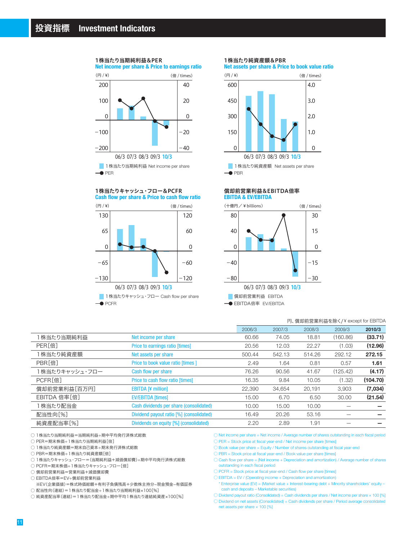

#### 1株当たり当期純利益&PER

1株当たりキャッシュ・フロー&PCFR





1株当たり純資産額&PBR

**Net assets per share & Price to book value ratio**



**EBITDA & EV/EBITDA** 償却前営業利益&EBITDA倍率



| 円、償却前営業利益を除く/¥except for EBITDA          |        |        |        |          |          |
|------------------------------------------|--------|--------|--------|----------|----------|
|                                          | 2006/3 | 2007/3 | 2008/3 | 2009/3   | 2010/3   |
| Net income per share                     | 60.66  | 74.05  | 18.81  | (160.86) | (33.71)  |
| Price to earnings ratio [times]          | 20.56  | 12.03  | 22.27  | (1.03)   | (12.96)  |
| Net assets per share                     | 500.44 | 542.13 | 514.26 | 292.12   | 272.15   |
| Price to book value ratio [times ]       | 2.49   | 1.64   | 0.81   | 0.57     | 1.61     |
| Cash flow per share                      | 76.26  | 90.56  | 41.67  | (125.42) | (4.17)   |
| Price to cash flow ratio [times]         | 16.35  | 9.84   | 10.05  | (1.32)   | (104.70) |
| <b>EBITDA [¥ million]</b>                | 22,390 | 34.654 | 20,191 | 3.903    | (7,034)  |
| <b>EV/EBITDA [times]</b>                 | 15.00  | 6.70   | 6.50   | 30.00    | (21.54)  |
| Cash dividends per share (consolidated)  | 10.00  | 15.00  | 10.00  |          |          |
| Dividend payout ratio [%] (consolidated) | 16.49  | 20.26  | 53.16  |          |          |
| Dividends on equity [%] (consolidated)   | 2.20   | 2.89   | 1.91   |          |          |
|                                          |        |        |        |          |          |

○ 1株当たり当期純利益=当期純利益÷期中平均発行済株式総数

○ PER=期末株価÷1株当たり当期純利益[倍]

○ 1株当たり純資産額=期末自己資本÷期末発行済株式総数

○ PBR=期末株価÷1株当たり純資産額[倍]

○ 1株当たりキャッシュ・フロー=(当期純利益+減価償却費)÷期中平均発行済株式総数

○ PCFR=期末株価÷1株当たりキャッシュ・フロー[倍]

○ 償却前営業利益=営業利益+減価償却費

○ EBITDA倍率=EV÷償却前営業利益

※EV(企業価値)=株式時価総額+有利子負債残高+少数株主持分-現金預金-有価証券

○ 配当性向(連結)=1株当たり配当金÷1株当たり当期純利益×100[%]

○ 純資産配当率(連結)=1株当たり配当金÷期中平均1株当たり連結純資産×100[%]

 $\bigcirc$  Net income per share  $=$  Net income / Average number of shares outstanding in each fiscal period

○ PER = Stock price at fiscal year-end / Net income per share [times]

 $\bigcirc$  Book value per share = Equity / Number of shares outstanding at fiscal year-end

○ PBR = Stock price at fiscal year-end / Book value per share [times]

- $\circlearrowright$  Cash flow per share = (Net income + Depreciation and amortization) / Average number of shares outstanding in each fiscal period
- $\bigcirc$  PCFR = Stock price at fiscal year-end / Cash flow per share [times]
- $\bigcirc$  EBITDA = EV / (Operating income + Depreciation and amortization)
- \* Enterprise value (EV) = (Market value + Interest-bearing debt + Minority shareholders' equity cash and deposits – Marketable securities)

 $\circlearrowright$  Dividend payout ratio (Consolidated) = Cash dividends per share / Net income per share  $\times$  100 [%]

○ Dividend on net assets (Consolidated) = Cash dividends per share / Period average consolidated net assets per share × 100 [%]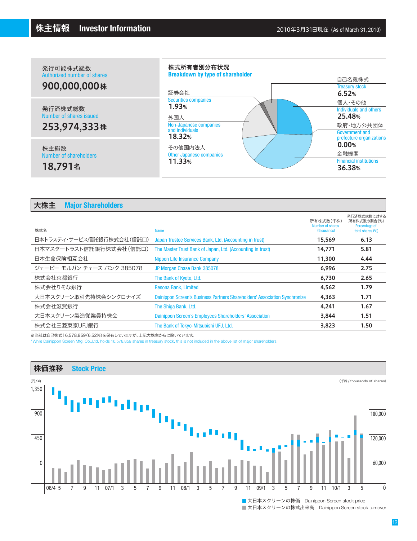| 発行可能株式総数<br>Authorized number of shares<br>900,000,000株 | 株式所有者別分布状況<br><b>Breakdown by type of shareholder</b><br>証券会社                                      | 自己名義株式<br><b>Treasury stock</b><br>6.52%                                                              |
|---------------------------------------------------------|----------------------------------------------------------------------------------------------------|-------------------------------------------------------------------------------------------------------|
| 発行済株式総数<br>Number of shares issued<br>253,974,333株      | <b>Securities companies</b><br>1.93%<br>外国人<br>Non-Japanese companies<br>and individuals<br>18.32% | 個人・その他<br>Individuals and others<br>25.48%<br>政府·地方公共団体<br>Government and<br>prefecture organizations |
| 株主総数<br>Number of shareholders<br>18,791名               | その他国内法人<br><b>Other Japanese companies</b><br>11.33%                                               | 0.00%<br>金融機関<br><b>Financial institutions</b><br>36.38%                                              |

| 大株主 | <b>Major Shareholders</b> |  |
|-----|---------------------------|--|
|-----|---------------------------|--|

ı

| 株式名                        | <b>Name</b>                                                                | 所有株式数(千株)<br>Number of shares<br>(thousands) | 発行済株式総数に対する<br>所有株式数の割合(%)<br>Percentage of<br>total shares (%) |
|----------------------------|----------------------------------------------------------------------------|----------------------------------------------|-----------------------------------------------------------------|
| 日本トラスティ・サービス信託銀行株式会社(信託口)  | Japan Trustee Services Bank, Ltd. (Accounting in trust)                    | 15,569                                       | 6.13                                                            |
| 日本マスタートラスト信託銀行株式会社(信託口)    | The Master Trust Bank of Japan, Ltd. (Accounting in trust)                 | 14.771                                       | 5.81                                                            |
| 日本生命保険相互会社                 | Nippon Life Insurance Company                                              | 11.300                                       | 4.44                                                            |
| ジェーピー モルガン チェース バンク 385078 | JP Morgan Chase Bank 385078                                                | 6.996                                        | 2.75                                                            |
| 株式会社京都銀行                   | The Bank of Kyoto, Ltd.                                                    | 6.730                                        | 2.65                                                            |
| 株式会社りそな銀行                  | Resona Bank, Limited                                                       | 4.562                                        | 1.79                                                            |
| 大日本スクリーン取引先持株会シンクロナイズ      | Dainippon Screen's Business Partners Shareholders' Association Synchronize | 4.363                                        | 1.71                                                            |
| 株式会社滋賀銀行                   | The Shiga Bank, Ltd.                                                       | 4.241                                        | 1.67                                                            |
| 大日本スクリーン製造従業員持株会           | Dainippon Screen's Employees Shareholders' Association                     | 3.844                                        | 1.51                                                            |
| 株式会社三菱東京UFJ銀行              | The Bank of Tokyo-Mitsubishi UFJ, Ltd.                                     | 3,823                                        | 1.50                                                            |
|                            |                                                                            |                                              |                                                                 |

※当社は自己株式16,578,859(6.52%)を保有していますが、上記大株主からは除いています。

\*While Dainippon Screen Mfg. Co.,Ltd. holds 16,578,859 shares in treasury stock, this is not included in the above list of major shareholders.



■大日本スクリーンの株式出来高 Dainippon Screen stock turnover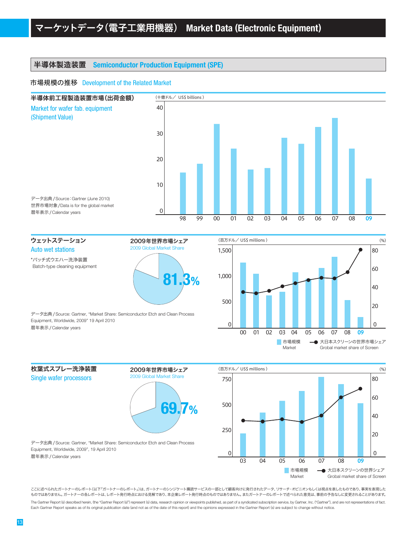# 半導体製造装置 **Semiconductor Production Equipment (SPE)**

#### 市場規模の推移 Development of the Related Market



\*バッチ式ウエハー洗浄装置 Batch-type cleaning equipment

枚葉式スプレー洗浄装置 Single wafer processors



2009年世界市場シェア 2009 Global Market Share

データ出典 /Source: Gartner, "Market Share: Semiconductor Etch and Clean Process Equipment, Worldwide, 2009" 19 April 2010 暦年表示 /Calendar years

データ出典 /Source: Gartner, "Market Share: Semiconductor Etch and Clean Process

Equipment, Worldwide, 2009", 19 April 2010

暦年表示 /Calendar years





ここに述べられたガートナーのレポート(以下「ガートナーのレポート」)は、ガートナーのシンジケート購読サービスの一部として顧客向けに発行されたデータ、リサーチ・オピニオンもしくは視点を表したものであり、事実を表現した ものではありません。ガートナーの各レポートは、レポート発行時点における見解であり、本企業レポート発行時点のものではありません。またガートナーのレポートで述べられた意見は、事前の予告なしに変更されることがあります。

The Gartner Report (s) described herein, (the "Gartner Report (s)") represent (s) data, research opinion or viewpoints published, as part of a syndicated subscription service, by Gartner, Inc. ("Gartner"), and are not repr Each Gartner Report speaks as of its original publication date (and not as of the date of this report) and the opinions expressed in the Gartner Report (s) are subject to change without notice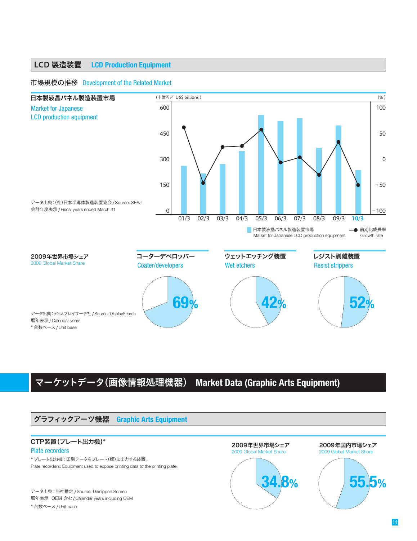# LCD 製造装置 **LCD Production Equipment**

#### 市場規模の推移 Development of the Related Market



# マーケットデータ(画像情報処理機器) **Market Data (Graphic Arts Equipment)**

# グラフィックアーツ機器 **Graphic Arts Equipment**

## CTP装置(プレート出力機)\*

#### Plate recorders

\* プレート出力機:印刷データをプレート(版)に出力する装置。 Plate recorders: Equipment used to expose printing data to the printing plate.

データ出典:当社推定 /Source: Dainippon Screen 暦年表示 OEM 含む/Calendar years including OEM \* 台数ベース/Unit base



2009年国内市場シェア 2009 Global Market Share